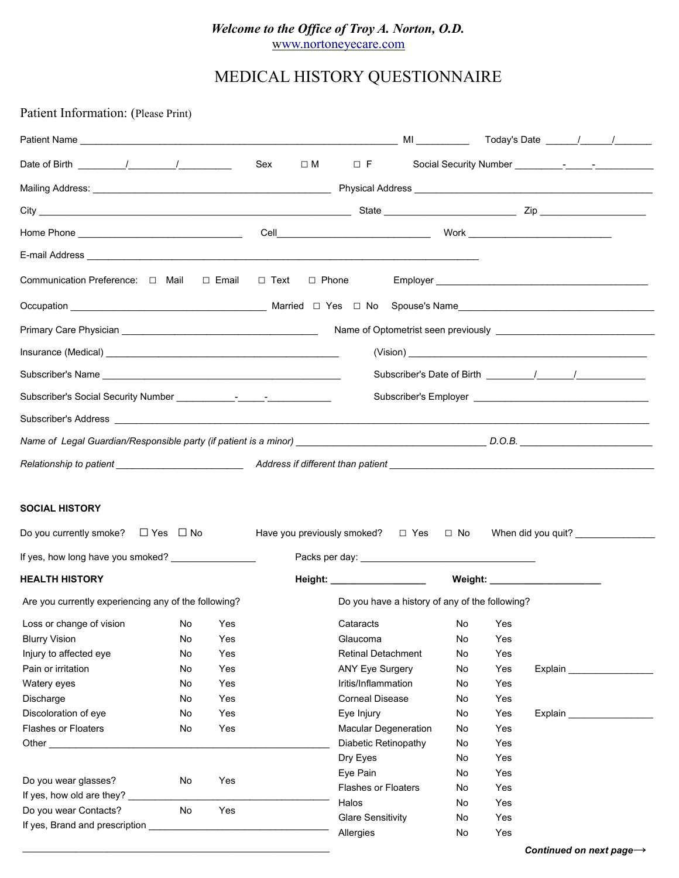# *Welcome to the Office of Troy A. Norton, O.D.* [www.nortoneyecare.com](http://Www.nortoneyecare.com/)

# MEDICAL HISTORY QUESTIONNAIRE

Patient Information: (Please Print)

|                                                                                                                                                                                                                                      |                                                    |                                                             | Sex |  | $\Box$ M $\Box$ F                                                                                                                                                                                                                      |  |                                                                      |                                                                                  |  |  |                                      |
|--------------------------------------------------------------------------------------------------------------------------------------------------------------------------------------------------------------------------------------|----------------------------------------------------|-------------------------------------------------------------|-----|--|----------------------------------------------------------------------------------------------------------------------------------------------------------------------------------------------------------------------------------------|--|----------------------------------------------------------------------|----------------------------------------------------------------------------------|--|--|--------------------------------------|
|                                                                                                                                                                                                                                      |                                                    |                                                             |     |  |                                                                                                                                                                                                                                        |  |                                                                      |                                                                                  |  |  |                                      |
|                                                                                                                                                                                                                                      |                                                    |                                                             |     |  |                                                                                                                                                                                                                                        |  |                                                                      |                                                                                  |  |  |                                      |
|                                                                                                                                                                                                                                      |                                                    |                                                             |     |  |                                                                                                                                                                                                                                        |  |                                                                      |                                                                                  |  |  |                                      |
|                                                                                                                                                                                                                                      |                                                    |                                                             |     |  |                                                                                                                                                                                                                                        |  |                                                                      |                                                                                  |  |  |                                      |
| Communication Preference: □ Mail □ Email □ Text                                                                                                                                                                                      |                                                    |                                                             |     |  | $\Box$ Phone                                                                                                                                                                                                                           |  |                                                                      |                                                                                  |  |  |                                      |
|                                                                                                                                                                                                                                      |                                                    |                                                             |     |  |                                                                                                                                                                                                                                        |  |                                                                      |                                                                                  |  |  |                                      |
|                                                                                                                                                                                                                                      |                                                    |                                                             |     |  |                                                                                                                                                                                                                                        |  |                                                                      |                                                                                  |  |  |                                      |
|                                                                                                                                                                                                                                      |                                                    |                                                             |     |  |                                                                                                                                                                                                                                        |  |                                                                      |                                                                                  |  |  |                                      |
|                                                                                                                                                                                                                                      |                                                    |                                                             |     |  |                                                                                                                                                                                                                                        |  |                                                                      |                                                                                  |  |  |                                      |
|                                                                                                                                                                                                                                      |                                                    |                                                             |     |  |                                                                                                                                                                                                                                        |  |                                                                      |                                                                                  |  |  |                                      |
| Subscriber's Address <b>contract and the contract of the contract of the contract of the contract of the contract of the contract of the contract of the contract of the contract of the contract of the contract of the contrac</b> |                                                    |                                                             |     |  |                                                                                                                                                                                                                                        |  |                                                                      |                                                                                  |  |  |                                      |
|                                                                                                                                                                                                                                      |                                                    |                                                             |     |  |                                                                                                                                                                                                                                        |  |                                                                      |                                                                                  |  |  |                                      |
|                                                                                                                                                                                                                                      |                                                    |                                                             |     |  |                                                                                                                                                                                                                                        |  |                                                                      |                                                                                  |  |  |                                      |
| <b>SOCIAL HISTORY</b><br>Do you currently smoke? $\Box$ Yes $\Box$ No<br>If yes, how long have you smoked?                                                                                                                           |                                                    |                                                             |     |  | Have you previously smoked? $\Box$ Yes $\Box$ No When did you quit?                                                                                                                                                                    |  |                                                                      |                                                                                  |  |  |                                      |
| <b>HEALTH HISTORY</b>                                                                                                                                                                                                                |                                                    |                                                             |     |  |                                                                                                                                                                                                                                        |  |                                                                      |                                                                                  |  |  |                                      |
| Are you currently experiencing any of the following?                                                                                                                                                                                 |                                                    | Do you have a history of any of the following?              |     |  |                                                                                                                                                                                                                                        |  |                                                                      |                                                                                  |  |  |                                      |
| <b>Blurry Vision</b><br>Injury to affected eye<br>Pain or irritation<br>Watery eyes<br>Discharge<br>Discoloration of eye<br><b>Flashes or Floaters</b><br>Do you wear glasses?<br>If yes, how old are they?<br>Do you wear Contacts? | No<br>No<br>No<br>No<br>No<br>No<br>No<br>No<br>No | Yes<br>Yes<br>Yes<br>Yes<br>Yes<br>Yes<br>Yes<br>Yes<br>Yes |     |  | Glaucoma<br><b>Retinal Detachment</b><br><b>ANY Eye Surgery</b><br>Iritis/Inflammation<br><b>Corneal Disease</b><br>Eye Injury<br>Macular Degeneration<br>Diabetic Retinopathy<br>Dry Eyes<br>Eye Pain<br>Flashes or Floaters<br>Halos |  | No<br>No<br>No<br>No<br>No<br>No<br>No<br>No<br>No<br>No<br>No<br>No | Yes<br>Yes<br>Yes<br>Yes<br>Yes<br>Yes<br>Yes<br>Yes<br>Yes<br>Yes<br>Yes<br>Yes |  |  |                                      |
|                                                                                                                                                                                                                                      |                                                    |                                                             |     |  | <b>Glare Sensitivity</b><br>Allergies                                                                                                                                                                                                  |  | No<br>No                                                             | Yes<br>Yes                                                                       |  |  |                                      |
|                                                                                                                                                                                                                                      |                                                    |                                                             |     |  |                                                                                                                                                                                                                                        |  |                                                                      |                                                                                  |  |  | Continued on next page $\rightarrow$ |

*Continued on next page→*